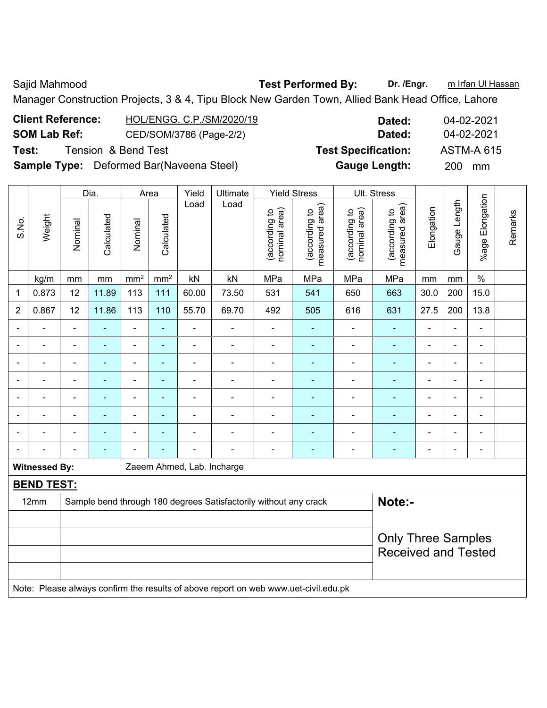Sajid Mahmood **Test Performed By:** Dr. /Engr. **m** Irfan Ul Hassan Manager Construction Projects, 3 & 4, Tipu Block New Garden Town, Allied Bank Head Office, Lahore

| <b>Client Reference:</b> | HOL/ENGG. C.P./SM/2020/19                       | Dated:                     | 04-02-2021        |
|--------------------------|-------------------------------------------------|----------------------------|-------------------|
| <b>SOM Lab Ref:</b>      | CED/SOM/3786 (Page-2/2)                         | Dated:                     | 04-02-2021        |
| Test:                    | Tension & Bend Test                             | <b>Test Specification:</b> | <b>ASTM-A 615</b> |
|                          | <b>Sample Type:</b> Deformed Bar(Naveena Steel) | <b>Gauge Length:</b>       | <b>200</b><br>mm  |

|                |                      |                | Dia.           |                 | Area            | Yield                      | Ultimate                                                                            |                                | <b>Yield Stress</b>             |                                | Ult. Stress                     |                           |                |                 |         |
|----------------|----------------------|----------------|----------------|-----------------|-----------------|----------------------------|-------------------------------------------------------------------------------------|--------------------------------|---------------------------------|--------------------------------|---------------------------------|---------------------------|----------------|-----------------|---------|
| S.No.          | Weight               | Nominal        | Calculated     | Nominal         | Calculated      | Load                       | Load                                                                                | nominal area)<br>(according to | measured area)<br>(according to | nominal area)<br>(according to | (according to<br>measured area) | Elongation                | Gauge Length   | %age Elongation | Remarks |
|                | kg/m                 | mm             | mm             | mm <sup>2</sup> | mm <sup>2</sup> | kN                         | kN                                                                                  | MPa                            | MPa                             | MPa                            | MPa                             | mm                        | mm             | $\%$            |         |
| 1              | 0.873                | 12             | 11.89          | 113             | 111             | 60.00                      | 73.50                                                                               | 531                            | 541                             | 650                            | 663                             | 30.0                      | 200            | 15.0            |         |
| $\overline{2}$ | 0.867                | 12             | 11.86          | 113             | 110             | 55.70                      | 69.70                                                                               | 492                            | 505                             | 616                            | 631                             | 27.5                      | 200            | 13.8            |         |
|                |                      |                |                | L,              | ä,              |                            | $\blacksquare$                                                                      | $\blacksquare$                 |                                 | ä,                             | ä,                              |                           | ÷              |                 |         |
|                |                      |                | $\blacksquare$ | $\blacksquare$  | ä,              | L,                         | $\blacksquare$                                                                      | ä,                             | $\blacksquare$                  | ä,                             | ÷,                              | $\blacksquare$            | ÷              | $\overline{a}$  |         |
| $\blacksquare$ | ÷                    | $\blacksquare$ | ÷              | $\blacksquare$  | ÷,              | L,                         | $\blacksquare$                                                                      | -                              | $\blacksquare$                  | ÷,                             | ÷,                              | $\blacksquare$            | ÷,             | $\frac{1}{2}$   |         |
|                | ä,                   | $\overline{a}$ | $\blacksquare$ | $\blacksquare$  | ÷,              | L,                         | $\blacksquare$                                                                      | -                              | $\blacksquare$                  | ÷                              | ÷,                              | $\blacksquare$            | ۰              | -               |         |
|                | ÷                    | ۳              | ÷,             | $\blacksquare$  | $\frac{1}{2}$   | ÷                          | $\blacksquare$                                                                      | $\blacksquare$                 | $\blacksquare$                  | ÷,                             | ÷                               | $\blacksquare$            | $\blacksquare$ | ÷,              |         |
|                |                      |                | $\blacksquare$ | ÷,              |                 |                            |                                                                                     | $\blacksquare$                 |                                 | ÷,                             |                                 |                           | $\blacksquare$ |                 |         |
|                |                      |                |                |                 |                 |                            |                                                                                     |                                |                                 |                                |                                 |                           |                |                 |         |
|                |                      | $\blacksquare$ | ٠              | $\blacksquare$  | ÷               |                            | $\blacksquare$                                                                      |                                | $\overline{\phantom{0}}$        | $\overline{\phantom{0}}$       | $\blacksquare$                  | $\blacksquare$            | $\blacksquare$ | $\overline{a}$  |         |
|                | <b>Witnessed By:</b> |                |                |                 |                 | Zaeem Ahmed, Lab. Incharge |                                                                                     |                                |                                 |                                |                                 |                           |                |                 |         |
|                | <b>BEND TEST:</b>    |                |                |                 |                 |                            |                                                                                     |                                |                                 |                                |                                 |                           |                |                 |         |
|                | 12mm                 |                |                |                 |                 |                            | Sample bend through 180 degrees Satisfactorily without any crack                    |                                |                                 |                                | Note:-                          |                           |                |                 |         |
|                |                      |                |                |                 |                 |                            |                                                                                     |                                |                                 |                                |                                 |                           |                |                 |         |
|                |                      |                |                |                 |                 |                            |                                                                                     |                                |                                 |                                |                                 | <b>Only Three Samples</b> |                |                 |         |
|                |                      |                |                |                 |                 |                            |                                                                                     |                                |                                 |                                | <b>Received and Tested</b>      |                           |                |                 |         |
|                |                      |                |                |                 |                 |                            |                                                                                     |                                |                                 |                                |                                 |                           |                |                 |         |
|                |                      |                |                |                 |                 |                            | Note: Please always confirm the results of above report on web www.uet-civil.edu.pk |                                |                                 |                                |                                 |                           |                |                 |         |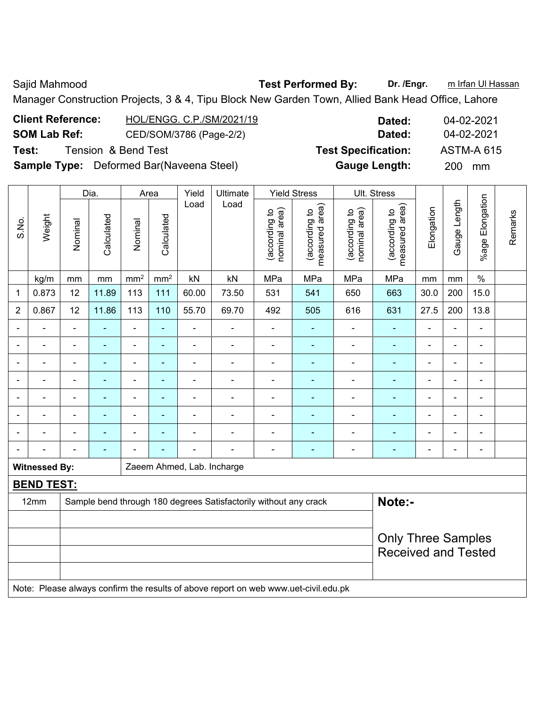Sajid Mahmood **Test Performed By:** Dr. /Engr. **m** Irfan Ul Hassan Manager Construction Projects, 3 & 4, Tipu Block New Garden Town, Allied Bank Head Office, Lahore

| <b>Client Reference:</b> | HOL/ENGG. C.P./SM/2021/19                       | Dated:                     | 04-02-2021        |
|--------------------------|-------------------------------------------------|----------------------------|-------------------|
| <b>SOM Lab Ref:</b>      | CED/SOM/3786 (Page-2/2)                         | Dated:                     | 04-02-2021        |
| Test:                    | Tension & Bend Test                             | <b>Test Specification:</b> | <b>ASTM-A 615</b> |
|                          | <b>Sample Type:</b> Deformed Bar(Naveena Steel) | <b>Gauge Length:</b>       | 200 mm            |

|                |                      |                | Dia.<br>Area              |                          | Yield           | <b>Ultimate</b> |                                                                                     | <b>Yield Stress</b>            |                                 | Ult. Stress                    |                                    |                          |                |                          |         |
|----------------|----------------------|----------------|---------------------------|--------------------------|-----------------|-----------------|-------------------------------------------------------------------------------------|--------------------------------|---------------------------------|--------------------------------|------------------------------------|--------------------------|----------------|--------------------------|---------|
| S.No.          | Weight               | Nominal        | Calculated                | Nominal                  | Calculated      | Load            | Load                                                                                | nominal area)<br>(according to | measured area)<br>(according to | nominal area)<br>(according to | area)<br>(according to<br>measured | Elongation               | Gauge Length   | %age Elongation          | Remarks |
|                | kg/m                 | mm             | mm                        | mm <sup>2</sup>          | mm <sup>2</sup> | kN              | kN                                                                                  | MPa                            | MPa                             | MPa                            | MPa                                | mm                       | mm             | $\%$                     |         |
| 1              | 0.873                | 12             | 11.89                     | 113                      | 111             | 60.00           | 73.50                                                                               | 531                            | 541                             | 650                            | 663                                | 30.0                     | 200            | 15.0                     |         |
| $\overline{2}$ | 0.867                | 12             | 11.86                     | 113                      | 110             | 55.70           | 69.70                                                                               | 492                            | 505                             | 616                            | 631                                | 27.5                     | 200            | 13.8                     |         |
|                |                      |                |                           | L,                       | ä,              | $\blacksquare$  |                                                                                     | ä,                             |                                 | $\blacksquare$                 | ÷,                                 |                          | ä,             | $\blacksquare$           |         |
|                |                      |                | ÷                         | $\overline{a}$           | $\blacksquare$  | $\blacksquare$  | $\overline{a}$                                                                      | ÷                              | ÷,                              | $\blacksquare$                 | ÷,                                 | $\blacksquare$           |                | $\blacksquare$           |         |
| $\blacksquare$ | ä,                   | $\blacksquare$ | ÷                         | $\overline{\phantom{a}}$ | ٠               | $\blacksquare$  | $\blacksquare$                                                                      | ÷                              | ٠                               | $\blacksquare$                 | ÷,                                 | $\overline{a}$           | $\blacksquare$ | $\blacksquare$           |         |
|                | ۰                    | $\overline{a}$ | $\blacksquare$            | -                        | ٠               |                 | $\blacksquare$                                                                      | $\overline{\phantom{0}}$       | ٠                               | $\overline{\phantom{a}}$       | $\blacksquare$                     | $\overline{a}$           | $\blacksquare$ | $\blacksquare$           |         |
|                | $\blacksquare$       | $\blacksquare$ | $\sim$                    | $\blacksquare$           | ÷,              | $\blacksquare$  | $\blacksquare$                                                                      | ÷                              | ä,                              | $\blacksquare$                 | $\blacksquare$                     | $\overline{\phantom{a}}$ | $\blacksquare$ | $\blacksquare$           |         |
|                |                      |                | ÷                         | L,                       | $\blacksquare$  | $\blacksquare$  | ä,                                                                                  | $\blacksquare$                 | ÷                               | $\blacksquare$                 | ä,                                 |                          | $\blacksquare$ | $\blacksquare$           |         |
|                |                      |                |                           | L.                       |                 |                 | $\blacksquare$                                                                      | ۳                              |                                 | $\overline{\phantom{0}}$       | $\blacksquare$                     |                          |                | $\overline{\phantom{0}}$ |         |
|                |                      |                | $\overline{\phantom{a}}$  | L,                       | $\overline{a}$  | $\blacksquare$  | L,                                                                                  | ۳                              | ۰                               | L.                             | $\blacksquare$                     | $\blacksquare$           |                | $\blacksquare$           |         |
|                | <b>Witnessed By:</b> |                |                           |                          |                 |                 | Zaeem Ahmed, Lab. Incharge                                                          |                                |                                 |                                |                                    |                          |                |                          |         |
|                | <b>BEND TEST:</b>    |                |                           |                          |                 |                 |                                                                                     |                                |                                 |                                |                                    |                          |                |                          |         |
|                | 12mm                 |                |                           |                          |                 |                 | Sample bend through 180 degrees Satisfactorily without any crack                    |                                |                                 |                                | Note:-                             |                          |                |                          |         |
|                |                      |                |                           |                          |                 |                 |                                                                                     |                                |                                 |                                |                                    |                          |                |                          |         |
|                |                      |                | <b>Only Three Samples</b> |                          |                 |                 |                                                                                     |                                |                                 |                                |                                    |                          |                |                          |         |
|                |                      |                |                           |                          |                 |                 |                                                                                     |                                |                                 |                                | <b>Received and Tested</b>         |                          |                |                          |         |
|                |                      |                |                           |                          |                 |                 |                                                                                     |                                |                                 |                                |                                    |                          |                |                          |         |
|                |                      |                |                           |                          |                 |                 | Note: Please always confirm the results of above report on web www.uet-civil.edu.pk |                                |                                 |                                |                                    |                          |                |                          |         |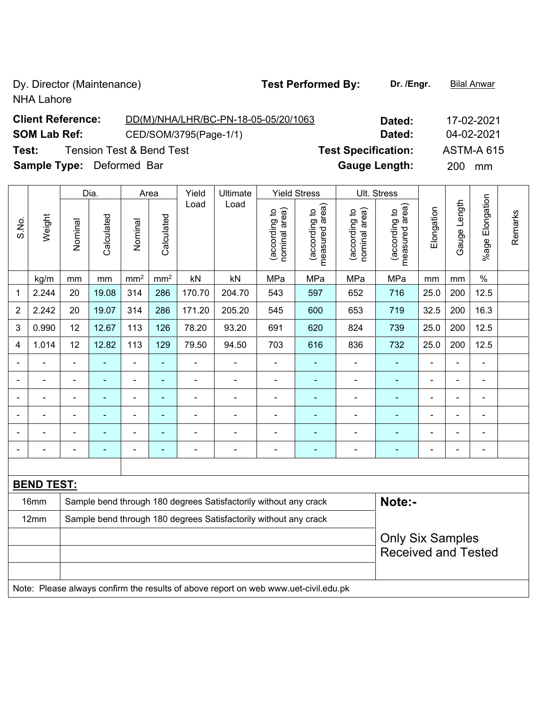NHA Lahore

### **Client Reference:** DD(M)/NHA/LHR/BC-PN-18-05-05/20/1063 **Dated:** 17-02-2021 **SOM Lab Ref:** CED/SOM/3795(Page-1/1) **Dated:** 04-02-2021 **Test:** Tension Test & Bend Test **Test Specification:** ASTM-A 615 **Sample Type:** Deformed Bar **Gauge Length:** 200 mm

|       |                                                                                     | Dia.<br>Area   |                |                 |                 | Yield          | Ultimate                                                         | <b>Yield Stress</b>            |                                 |                                | Ult. Stress                     |                |                |                          |         |
|-------|-------------------------------------------------------------------------------------|----------------|----------------|-----------------|-----------------|----------------|------------------------------------------------------------------|--------------------------------|---------------------------------|--------------------------------|---------------------------------|----------------|----------------|--------------------------|---------|
| S.No. | Weight                                                                              | Nominal        | Calculated     | Nominal         | Calculated      | Load           | Load                                                             | nominal area)<br>(according to | measured area)<br>(according to | nominal area)<br>(according to | measured area)<br>(according to | Elongation     | Gauge Length   | Elongation<br>$%$ age    | Remarks |
|       | kg/m                                                                                | mm             | mm             | mm <sup>2</sup> | mm <sup>2</sup> | kN             | kN                                                               | MPa                            | MPa                             | MPa                            | MPa                             | mm             | mm             | $\%$                     |         |
| 1     | 2.244                                                                               | 20             | 19.08          | 314             | 286             | 170.70         | 204.70                                                           | 543                            | 597                             | 652                            | 716                             | 25.0           | 200            | 12.5                     |         |
| 2     | 2.242                                                                               | 20             | 19.07          | 314             | 286             | 171.20         | 205.20                                                           | 545                            | 600                             | 653                            | 719                             | 32.5           | 200            | 16.3                     |         |
| 3     | 0.990                                                                               | 12             | 12.67          | 113             | 126             | 78.20          | 93.20                                                            | 691                            | 620                             | 824                            | 739                             | 25.0           | 200            | 12.5                     |         |
| 4     | 1.014                                                                               | 12             | 12.82          | 113             | 129             | 79.50          | 94.50                                                            | 703                            | 616                             | 836                            | 732                             | 25.0           | 200            | 12.5                     |         |
|       |                                                                                     |                |                | ÷               | ٠               |                |                                                                  |                                |                                 |                                |                                 |                |                | $\blacksquare$           |         |
|       |                                                                                     |                |                | Ē,              | ä,              |                |                                                                  |                                |                                 |                                |                                 |                |                | $\blacksquare$           |         |
|       |                                                                                     | Ē,             | $\blacksquare$ | ÷               | $\blacksquare$  |                |                                                                  |                                | ۰                               |                                |                                 | $\blacksquare$ | $\blacksquare$ | $\blacksquare$           |         |
|       |                                                                                     | ÷              | ä,             | ÷               | $\blacksquare$  | $\blacksquare$ | $\overline{a}$                                                   | $\blacksquare$                 | $\blacksquare$                  | $\blacksquare$                 | ÷                               | Ē,             | $\blacksquare$ | $\blacksquare$           |         |
|       |                                                                                     | ä,             | ä,             | ÷               | $\blacksquare$  | ÷              | $\blacksquare$                                                   | $\blacksquare$                 | ÷                               |                                | ÷                               | Ē,             | ä,             | $\blacksquare$           |         |
|       |                                                                                     | $\blacksquare$ | ÷              | ۰               | $\blacksquare$  | -              | $\overline{a}$                                                   | $\blacksquare$                 | $\overline{\phantom{0}}$        | $\blacksquare$                 | ÷                               | $\blacksquare$ | $\blacksquare$ | $\overline{\phantom{a}}$ |         |
|       |                                                                                     |                |                |                 |                 |                |                                                                  |                                |                                 |                                |                                 |                |                |                          |         |
|       | <b>BEND TEST:</b>                                                                   |                |                |                 |                 |                |                                                                  |                                |                                 |                                |                                 |                |                |                          |         |
|       | 16mm                                                                                |                |                |                 |                 |                | Sample bend through 180 degrees Satisfactorily without any crack |                                |                                 |                                | Note:-                          |                |                |                          |         |
|       | 12mm                                                                                |                |                |                 |                 |                | Sample bend through 180 degrees Satisfactorily without any crack |                                |                                 |                                |                                 |                |                |                          |         |
|       |                                                                                     |                |                |                 |                 |                |                                                                  |                                |                                 |                                | <b>Only Six Samples</b>         |                |                |                          |         |
|       |                                                                                     |                |                |                 |                 |                |                                                                  |                                |                                 |                                | <b>Received and Tested</b>      |                |                |                          |         |
|       |                                                                                     |                |                |                 |                 |                |                                                                  |                                |                                 |                                |                                 |                |                |                          |         |
|       | Note: Please always confirm the results of above report on web www.uet-civil.edu.pk |                |                |                 |                 |                |                                                                  |                                |                                 |                                |                                 |                |                |                          |         |

## Dy. Director (Maintenance) **Test Performed By:** Dr. /Engr. **Bilal Anwar**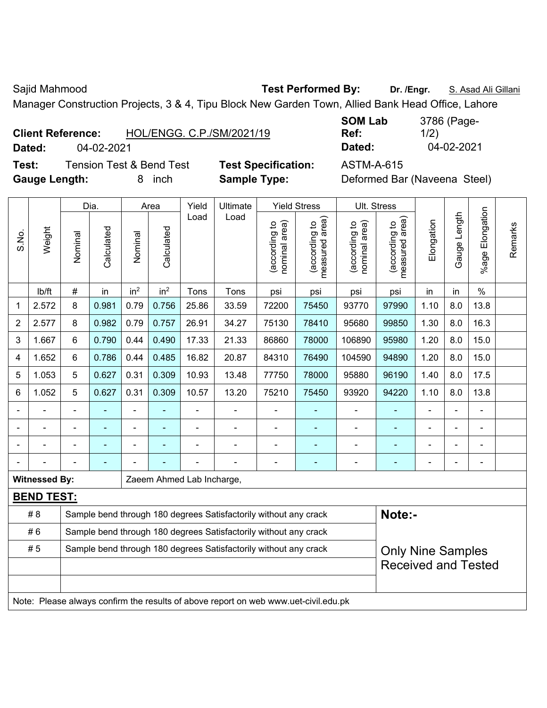Manager Construction Projects, 3 & 4, Tipu Block New Garden Town, Allied Bank Head Office, Lahore

| <b>Client Reference:</b> | HOL/ENGG, C.P./SM/2021/19 |
|--------------------------|---------------------------|
|--------------------------|---------------------------|

**Test:** Tension Test & Bend Test **Test Specification:** ASTM-A-615 Gauge Length: **8** inch **Sample Type:** Definition

**SOM Lab Ref:**  3786 (Page-1/2) **Dated:** 04-02-2021 **Dated:** 04-02-2021

| Deformed Bar (Naveena Steel) |  |  |
|------------------------------|--|--|
|------------------------------|--|--|

|                |                      |                                                                                              | Dia.                     |                 | Area            | Yield                     | <b>Ultimate</b>                                                                     |                                | <b>Yield Stress</b>                         | Ult. Stress                    |                                             |            |              |                       |         |
|----------------|----------------------|----------------------------------------------------------------------------------------------|--------------------------|-----------------|-----------------|---------------------------|-------------------------------------------------------------------------------------|--------------------------------|---------------------------------------------|--------------------------------|---------------------------------------------|------------|--------------|-----------------------|---------|
| S.No.          | Weight               | Nominal                                                                                      | Calculated               | Nominal         | Calculated      | Load                      | Load                                                                                | nominal area)<br>(according to | (according to<br>measured area)<br>measured | nominal area)<br>(according to | (according to<br>measured area)<br>measured | Elongation | Gauge Length | Elongation<br>$%$ age | Remarks |
|                | lb/ft                | $\#$                                                                                         | in                       | in <sup>2</sup> | in <sup>2</sup> | Tons                      | Tons                                                                                | psi                            | psi                                         | psi                            | psi                                         | in         | in           | $\%$                  |         |
| 1              | 2.572                | 8                                                                                            | 0.981                    | 0.79            | 0.756           | 25.86                     | 33.59                                                                               | 72200                          | 75450                                       | 93770                          | 97990                                       | 1.10       | 8.0          | 13.8                  |         |
| $\overline{2}$ | 2.577                | 8                                                                                            | 0.982                    | 0.79            | 0.757           | 26.91                     | 34.27                                                                               | 75130                          | 78410                                       | 95680                          | 99850                                       | 1.30       | 8.0          | 16.3                  |         |
| 3              | 1.667                | 6                                                                                            | 0.790                    | 0.44            | 0.490           | 17.33                     | 21.33                                                                               | 86860                          | 78000                                       | 106890                         | 95980                                       | 1.20       | 8.0          | 15.0                  |         |
| 4              | 1.652                | 6                                                                                            | 0.786                    | 0.44            | 0.485           | 16.82                     | 20.87                                                                               | 84310                          | 76490                                       | 104590                         | 94890                                       | 1.20       | 8.0          | 15.0                  |         |
| 5              | 1.053                | 5                                                                                            | 0.627                    | 0.31            | 0.309           | 10.93                     | 13.48                                                                               | 77750                          | 78000                                       | 95880                          | 96190                                       | 1.40       | 8.0          | 17.5                  |         |
| 6              | 1.052                | 5                                                                                            | 0.627                    | 0.31            | 0.309           | 10.57                     | 13.20                                                                               | 75210                          | 75450                                       | 93920                          | 94220                                       | 1.10       | 8.0          | 13.8                  |         |
|                |                      |                                                                                              |                          | ÷               |                 |                           |                                                                                     |                                | ۰                                           |                                |                                             |            |              |                       |         |
|                |                      |                                                                                              |                          |                 |                 |                           |                                                                                     |                                |                                             |                                |                                             |            |              |                       |         |
|                |                      |                                                                                              | $\overline{\phantom{0}}$ | ۰               | ۳               |                           | ۰                                                                                   | $\blacksquare$                 | $\overline{\phantom{0}}$                    | $\blacksquare$                 | ۰                                           | ٠          |              | $\overline{a}$        |         |
|                |                      |                                                                                              | ۰                        |                 |                 |                           |                                                                                     | $\blacksquare$                 | $\overline{\phantom{0}}$                    | $\blacksquare$                 | $\blacksquare$                              | ٠          |              | ÷                     |         |
|                | <b>Witnessed By:</b> |                                                                                              |                          |                 |                 | Zaeem Ahmed Lab Incharge, |                                                                                     |                                |                                             |                                |                                             |            |              |                       |         |
|                | <b>BEND TEST:</b>    |                                                                                              |                          |                 |                 |                           |                                                                                     |                                |                                             |                                |                                             |            |              |                       |         |
|                | # 8                  |                                                                                              |                          |                 |                 |                           | Sample bend through 180 degrees Satisfactorily without any crack                    |                                |                                             |                                | Note:-                                      |            |              |                       |         |
|                | #6                   |                                                                                              |                          |                 |                 |                           | Sample bend through 180 degrees Satisfactorily without any crack                    |                                |                                             |                                |                                             |            |              |                       |         |
|                | #5                   | Sample bend through 180 degrees Satisfactorily without any crack<br><b>Only Nine Samples</b> |                          |                 |                 |                           |                                                                                     |                                |                                             |                                |                                             |            |              |                       |         |
|                |                      |                                                                                              |                          |                 |                 |                           |                                                                                     |                                |                                             |                                | <b>Received and Tested</b>                  |            |              |                       |         |
|                |                      |                                                                                              |                          |                 |                 |                           |                                                                                     |                                |                                             |                                |                                             |            |              |                       |         |
|                |                      |                                                                                              |                          |                 |                 |                           | Note: Please always confirm the results of above report on web www.uet-civil.edu.pk |                                |                                             |                                |                                             |            |              |                       |         |

Sajid Mahmood **Test Performed By:** Dr. /Engr. **S. Asad Ali Gillani** Ali Gillani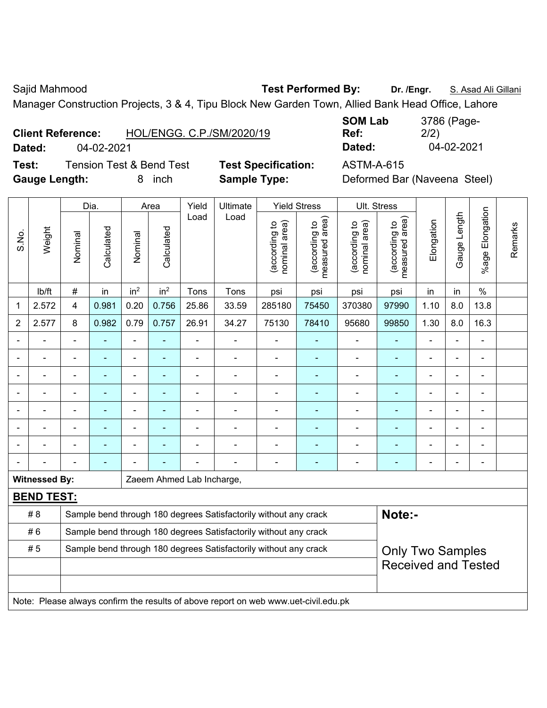Sajid Mahmood **Test Performed By:** Dr. /Engr. **S. Asad Ali Gillani** Assembly Capital Accords Accord Accords Containing Sajid Mahmood

Manager Construction Projects, 3 & 4, Tipu Block New Garden Town, Allied Bank Head Office, Lahore

**Test:** Tension Test & Bend Test **Test Specification:** ASTM-A-615 **Gauge Length:** 8 inch **Sample Type:** Deformed Bar (Naveena Steel)

**SOM Lab Ref:**  3786 (Page-2/2) **Dated:** 04-02-2021 **Dated:** 04-02-2021

|                |                      |                | Dia.           |                 | Area            | Yield                                                            | Ultimate                                                                            |                                | <b>Yield Stress</b>             |                                | Ult. Stress                        |                          |                |                          |         |
|----------------|----------------------|----------------|----------------|-----------------|-----------------|------------------------------------------------------------------|-------------------------------------------------------------------------------------|--------------------------------|---------------------------------|--------------------------------|------------------------------------|--------------------------|----------------|--------------------------|---------|
| S.No.          | Weight               | Nominal        | Calculated     | Nominal         | Calculated      | Load                                                             | Load                                                                                | nominal area)<br>(according to | (according to<br>measured area) | nominal area)<br>(according to | area)<br>(according to<br>measured | Elongation               | Gauge Length   | Elongation<br>$%$ age F  | Remarks |
|                | Ib/ft                | $\#$           | in             | in <sup>2</sup> | in <sup>2</sup> | Tons                                                             | Tons                                                                                | psi                            | psi                             | psi                            | psi                                | in                       | in             | $\%$                     |         |
| 1              | 2.572                | 4              | 0.981          | 0.20            | 0.756           | 25.86                                                            | 33.59                                                                               | 285180                         | 75450                           | 370380                         | 97990                              | 1.10                     | 8.0            | 13.8                     |         |
| $\overline{2}$ | 2.577                | 8              | 0.982          | 0.79            | 0.757           | 26.91                                                            | 34.27                                                                               | 75130                          | 78410                           | 95680                          | 99850                              | 1.30                     | 8.0            | 16.3                     |         |
|                |                      |                |                |                 |                 |                                                                  |                                                                                     |                                |                                 |                                |                                    |                          |                |                          |         |
|                |                      |                |                | ÷               |                 |                                                                  |                                                                                     | $\blacksquare$                 | $\blacksquare$                  |                                | ä,                                 | $\blacksquare$           |                | ä,                       |         |
| $\blacksquare$ |                      | $\blacksquare$ | ۰              | $\blacksquare$  | ۳               |                                                                  | $\blacksquare$                                                                      | $\overline{a}$                 | $\overline{\phantom{0}}$        | $\blacksquare$                 | $\overline{a}$                     | $\blacksquare$           | $\blacksquare$ | ä,                       |         |
| $\blacksquare$ |                      | $\blacksquare$ | ä,             | ۰               | $\blacksquare$  | $\blacksquare$                                                   | $\overline{a}$                                                                      | $\blacksquare$                 | $\overline{\phantom{0}}$        | $\blacksquare$                 | $\overline{\phantom{a}}$           | $\blacksquare$           | $\overline{a}$ | ۰                        |         |
|                |                      | $\blacksquare$ | ÷,             | ÷,              | ä,              | ÷                                                                | ÷,                                                                                  | $\blacksquare$                 | $\blacksquare$                  | $\blacksquare$                 | ÷                                  | $\blacksquare$           | $\blacksquare$ | $\overline{\phantom{0}}$ |         |
|                |                      | $\blacksquare$ | $\blacksquare$ | ۰               | ۳               | -                                                                | $\overline{\phantom{0}}$                                                            | $\blacksquare$                 | $\overline{\phantom{0}}$        | $\blacksquare$                 | ٠                                  | $\blacksquare$           | $\blacksquare$ | Ξ.                       |         |
|                |                      |                |                | $\blacksquare$  |                 |                                                                  |                                                                                     | $\blacksquare$                 | $\blacksquare$                  |                                | ٠                                  |                          |                |                          |         |
|                |                      |                |                |                 |                 |                                                                  |                                                                                     |                                |                                 |                                |                                    | $\overline{\phantom{0}}$ |                |                          |         |
|                | <b>Witnessed By:</b> |                |                |                 |                 | Zaeem Ahmed Lab Incharge,                                        |                                                                                     |                                |                                 |                                |                                    |                          |                |                          |         |
|                | <b>BEND TEST:</b>    |                |                |                 |                 |                                                                  |                                                                                     |                                |                                 |                                |                                    |                          |                |                          |         |
|                | # 8                  |                |                |                 |                 |                                                                  | Sample bend through 180 degrees Satisfactorily without any crack                    |                                |                                 |                                | Note:-                             |                          |                |                          |         |
|                | #6                   |                |                |                 |                 |                                                                  | Sample bend through 180 degrees Satisfactorily without any crack                    |                                |                                 |                                |                                    |                          |                |                          |         |
|                | #5                   |                |                |                 |                 | Sample bend through 180 degrees Satisfactorily without any crack |                                                                                     | <b>Only Two Samples</b>        |                                 |                                |                                    |                          |                |                          |         |
|                |                      |                |                |                 |                 |                                                                  |                                                                                     |                                |                                 |                                | <b>Received and Tested</b>         |                          |                |                          |         |
|                |                      |                |                |                 |                 |                                                                  |                                                                                     |                                |                                 |                                |                                    |                          |                |                          |         |
|                |                      |                |                |                 |                 |                                                                  | Note: Please always confirm the results of above report on web www.uet-civil.edu.pk |                                |                                 |                                |                                    |                          |                |                          |         |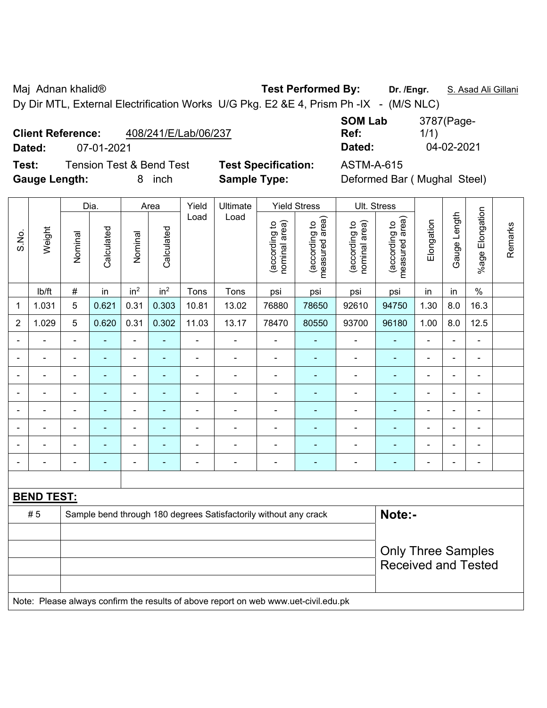Maj Adnan khalid® **Test Performed By: Dr. /Engr.** S. Asad Ali Gillani

Dy Dir MTL, External Electrification Works U/G Pkg. E2 &E 4, Prism Ph -IX - (M/S NLC)

#### **Client Reference:** 408/241/E/Lab/06/237

**Dated:** 07-01-2021 **Dated:** 04-02-2021

**Test:** Tension Test & Bend Test **Test Specification:** ASTM-A-615 **Gauge Length:** 8 inch **Sample Type:** Deformed Bar ( Mughal Steel)

| <b>SOM Lab</b> | 3787(Page- |
|----------------|------------|
| Ref:           | 1/1)       |
| Dated:         | 04-02-2021 |

|                |                   |                | Dia.                      |                          | Area            | Yield          | Ultimate                                                                            | <b>Yield Stress</b>            |                                 |                                | Ult. Stress                     |                |                |                 |         |
|----------------|-------------------|----------------|---------------------------|--------------------------|-----------------|----------------|-------------------------------------------------------------------------------------|--------------------------------|---------------------------------|--------------------------------|---------------------------------|----------------|----------------|-----------------|---------|
| S.No.          | Weight            | Nominal        | Calculated                | Nominal                  | Calculated      | Load           | Load                                                                                | nominal area)<br>(according to | (according to<br>measured area) | (according to<br>nominal area) | measured area)<br>(according to | Elongation     | Gauge Length   | %age Elongation | Remarks |
|                | lb/ft             | $\#$           | in                        | in <sup>2</sup>          | in <sup>2</sup> | Tons           | Tons                                                                                | psi                            | psi                             | psi                            | psi                             | in             | in             | $\frac{0}{0}$   |         |
| $\mathbf 1$    | 1.031             | 5              | 0.621                     | 0.31                     | 0.303           | 10.81          | 13.02                                                                               | 76880                          | 78650                           | 92610                          | 94750                           | 1.30           | 8.0            | 16.3            |         |
| $\overline{2}$ | 1.029             | 5              | 0.620                     | 0.31                     | 0.302           | 11.03          | 13.17                                                                               | 78470                          | 80550                           | 93700                          | 96180                           | 1.00           | 8.0            | 12.5            |         |
|                |                   |                |                           | $\blacksquare$           |                 |                |                                                                                     |                                |                                 | $\blacksquare$                 |                                 |                |                | $\blacksquare$  |         |
|                |                   |                | $\blacksquare$            | ä,                       |                 |                |                                                                                     | $\blacksquare$                 | ä,                              | $\blacksquare$                 | L,                              |                | L,             | $\blacksquare$  |         |
| $\blacksquare$ |                   | $\blacksquare$ | $\overline{\phantom{0}}$  | $\blacksquare$           |                 |                | $\blacksquare$                                                                      | $\blacksquare$                 | ۰                               | ۰                              | ÷                               | $\blacksquare$ | -              | $\blacksquare$  |         |
| $\blacksquare$ |                   | $\blacksquare$ | $\blacksquare$            | $\blacksquare$           | $\blacksquare$  | L,             | $\overline{\phantom{0}}$                                                            | $\blacksquare$                 | ۰                               | $\overline{\phantom{a}}$       | L,                              | $\blacksquare$ | ä,             | ÷,              |         |
|                | Ē,                | $\blacksquare$ | $\blacksquare$            | $\blacksquare$           | $\blacksquare$  | $\blacksquare$ | ä,                                                                                  | $\blacksquare$                 | ÷                               | ۰                              | $\overline{a}$                  | $\blacksquare$ | $\blacksquare$ | $\blacksquare$  |         |
|                | $\blacksquare$    | ۰              | $\blacksquare$            | $\overline{\phantom{a}}$ | ٠               | $\blacksquare$ |                                                                                     | $\blacksquare$                 | ÷                               | ۰                              | ä,                              | $\blacksquare$ | $\blacksquare$ | $\blacksquare$  |         |
|                |                   |                | $\blacksquare$            | ÷,                       |                 |                |                                                                                     | $\blacksquare$                 | $\overline{\phantom{a}}$        | $\blacksquare$                 | L,                              |                |                | $\blacksquare$  |         |
|                |                   |                |                           |                          | ä,              |                |                                                                                     | ÷                              | ÷                               | ÷                              |                                 | $\blacksquare$ | Ĭ.             | $\blacksquare$  |         |
|                |                   |                |                           |                          |                 |                |                                                                                     |                                |                                 |                                |                                 |                |                |                 |         |
|                | <b>BEND TEST:</b> |                |                           |                          |                 |                |                                                                                     |                                |                                 |                                |                                 |                |                |                 |         |
|                | #5                |                |                           |                          |                 |                | Sample bend through 180 degrees Satisfactorily without any crack                    |                                |                                 |                                | Note:-                          |                |                |                 |         |
|                |                   |                |                           |                          |                 |                |                                                                                     |                                |                                 |                                |                                 |                |                |                 |         |
|                |                   |                | <b>Only Three Samples</b> |                          |                 |                |                                                                                     |                                |                                 |                                |                                 |                |                |                 |         |
|                |                   |                |                           |                          |                 |                |                                                                                     |                                |                                 |                                | <b>Received and Tested</b>      |                |                |                 |         |
|                |                   |                |                           |                          |                 |                |                                                                                     |                                |                                 |                                |                                 |                |                |                 |         |
|                |                   |                |                           |                          |                 |                | Note: Please always confirm the results of above report on web www.uet-civil.edu.pk |                                |                                 |                                |                                 |                |                |                 |         |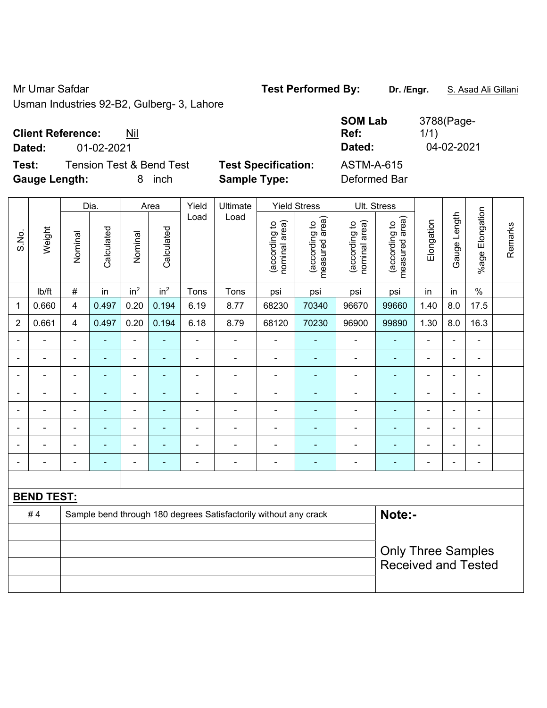Usman Industries 92-B2, Gulberg- 3, Lahore

#### **Client Reference:** Nil

**Test:** Tension Test & Bend Test **Test Specification:** ASTM-A-615 **Gauge Length:** 8 inch **Sample Type:** Deformed Bar

| ັ<br>- ອີ |                          |                |                 |                 |                          | -----p---                | <u>— лет</u>                   |                                    |                                |                                 |                |                          |                |            |
|-----------|--------------------------|----------------|-----------------|-----------------|--------------------------|--------------------------|--------------------------------|------------------------------------|--------------------------------|---------------------------------|----------------|--------------------------|----------------|------------|
|           |                          |                |                 |                 | Yield                    | Ultimate                 |                                |                                    |                                |                                 |                |                          |                |            |
| Weight    | Nominal                  | Calculated     | Nominal         | Calculated      |                          |                          | nominal area)<br>(according to | area)<br>(according to<br>measured | nominal area)<br>(according to | measured area)<br>(according to | Elongation     | Gauge                    | %age           | Remarks    |
| Ib/ft     | $\#$                     | in             | in <sup>2</sup> | in <sup>2</sup> | Tons                     | Tons                     | psi                            | psi                                | psi                            | psi                             | in             | in                       | $\%$           |            |
| 0.660     | 4                        | 0.497          | 0.20            | 0.194           | 6.19                     | 8.77                     | 68230                          | 70340                              | 96670                          | 99660                           | 1.40           | 8.0                      | 17.5           |            |
| 0.661     | 4                        | 0.497          | 0.20            | 0.194           | 6.18                     | 8.79                     | 68120                          | 70230                              | 96900                          | 99890                           | 1.30           | 8.0                      | 16.3           |            |
|           |                          |                | ۰               |                 |                          |                          |                                |                                    |                                |                                 | -              |                          |                |            |
|           | $\blacksquare$           | ۰              | $\blacksquare$  |                 | $\overline{\phantom{0}}$ | $\blacksquare$           | $\overline{\phantom{0}}$       | ٠                                  | $\blacksquare$                 | $\blacksquare$                  | $\blacksquare$ | $\overline{\phantom{0}}$ | ۰              |            |
|           | $\overline{\phantom{0}}$ | $\blacksquare$ | $\blacksquare$  |                 |                          | ۰                        | $\blacksquare$                 |                                    | -                              | $\overline{\phantom{0}}$        | $\blacksquare$ | $\blacksquare$           | $\blacksquare$ |            |
|           | $\overline{a}$           | $\equiv$       | ۰               |                 |                          | $\overline{\phantom{0}}$ |                                | ۰                                  |                                |                                 |                | $\blacksquare$           | -              |            |
|           | $\blacksquare$           | ۰              | ۰               |                 |                          | $\blacksquare$           |                                |                                    |                                |                                 | $\blacksquare$ | $\blacksquare$           | -              |            |
|           |                          |                |                 |                 |                          |                          |                                |                                    |                                |                                 |                |                          |                |            |
|           |                          |                |                 |                 |                          |                          |                                |                                    |                                |                                 |                |                          |                |            |
|           |                          |                | Dia.            |                 | Area                     | Load                     | Load                           |                                    | <b>Yield Stress</b>            |                                 | Ult. Stress    |                          | Length         | Elongation |

# **BEND TEST:**  #4 Sample bend through 180 degrees Satisfactorily without any crack **Note:-**Only Three Samples Received and Tested

- - - - - - - - - - - - - - -

**SOM Lab Ref:**  3788(Page-1/1) **Dated:** 01-02-2021 **Dated:** 04-02-2021

Mr Umar Safdar **Test Performed By:** Dr. /Engr. **S. Asad Ali Gillani** Ali Cillani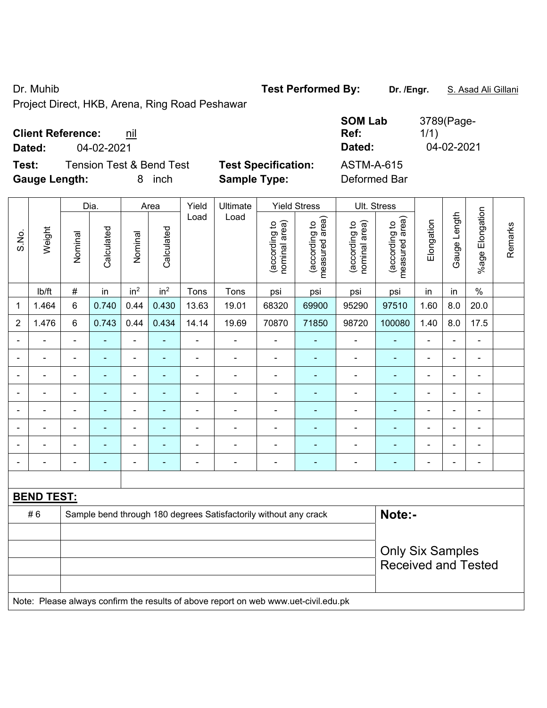Dr. Muhib **Test Performed By:** Dr. /Engr. **S. Asad Ali Gillani** 

Project Direct, HKB, Arena, Ring Road Peshawar

| <b>Client Reference:</b> | nil |
|--------------------------|-----|
|--------------------------|-----|

**Dated:** 04-02-2021 **Dated:** 04-02-2021

**Test:** Tension Test & Bend Test **Test Specification: Gauge Length:** 8 inch **Sample Type:** Deformed Bar

| <b>SOM Lab</b>    | 3789(Page- |
|-------------------|------------|
| Ref:              | 1/1)       |
| Dated:            | 04-02-2021 |
| <b>ASTM-A-615</b> |            |

|                |                                                                                     |                          | Dia.           |                              | Area                     | Yield          | Ultimate                                                         |                                | <b>Yield Stress</b>             | Ult. Stress                    |                                 |                              |                |                           |         |
|----------------|-------------------------------------------------------------------------------------|--------------------------|----------------|------------------------------|--------------------------|----------------|------------------------------------------------------------------|--------------------------------|---------------------------------|--------------------------------|---------------------------------|------------------------------|----------------|---------------------------|---------|
| S.No.          | Weight                                                                              | Nominal                  | Calculated     | Nominal                      | Calculated               | Load           | Load                                                             | (according to<br>nominal area) | measured area)<br>(according to | nominal area)<br>(according to | measured area)<br>(according to | Elongation                   | Gauge Length   | Elongation<br>$%$ age $ $ | Remarks |
|                | lb/ft                                                                               | $\#$                     | in             | in <sup>2</sup>              | in <sup>2</sup>          | Tons           | Tons                                                             | psi                            | psi                             | psi                            | psi                             | in                           | in             | $\%$                      |         |
| 1              | 1.464                                                                               | 6                        | 0.740          | 0.44                         | 0.430                    | 13.63          | 19.01                                                            | 68320                          | 69900                           | 95290                          | 97510                           | 1.60                         | 8.0            | 20.0                      |         |
| 2              | 1.476                                                                               | $6\phantom{1}$           | 0.743          | 0.44                         | 0.434                    | 14.14          | 19.69                                                            | 70870                          | 71850                           | 98720                          | 100080                          | 1.40                         | 8.0            | 17.5                      |         |
| $\blacksquare$ |                                                                                     | $\blacksquare$           | L,             | ÷,                           | $\overline{\phantom{a}}$ | $\blacksquare$ | ÷,                                                               | $\blacksquare$                 | $\blacksquare$                  | ÷,                             | ä,                              | ä,                           |                | ÷,                        |         |
|                |                                                                                     | $\blacksquare$           | ÷,             | $\qquad \qquad \blacksquare$ | $\overline{\phantom{a}}$ | ä,             | ä,                                                               | $\blacksquare$                 | $\blacksquare$                  | $\qquad \qquad \blacksquare$   | ÷,                              | ä,                           |                | $\blacksquare$            |         |
|                |                                                                                     |                          | $\blacksquare$ | $\blacksquare$               |                          |                |                                                                  |                                |                                 |                                | $\blacksquare$                  |                              |                | $\blacksquare$            |         |
|                |                                                                                     | Ē,                       |                |                              |                          |                |                                                                  |                                |                                 |                                |                                 | ÷                            |                | ä,                        |         |
| $\blacksquare$ |                                                                                     | $\blacksquare$           | ۰              | $\overline{\phantom{a}}$     | $\overline{\phantom{a}}$ | $\blacksquare$ | -                                                                | $\blacksquare$                 | $\overline{\phantom{a}}$        | ÷                              | ä,                              | $\blacksquare$               | $\blacksquare$ | $\overline{\phantom{a}}$  |         |
| $\blacksquare$ | $\blacksquare$                                                                      | $\blacksquare$           | ä,             | $\blacksquare$               | $\blacksquare$           | $\blacksquare$ | ä,                                                               | ä,                             | $\blacksquare$                  | ä,                             | $\blacksquare$                  | $\blacksquare$               | $\blacksquare$ | $\blacksquare$            |         |
|                |                                                                                     | $\blacksquare$           | ÷,             | $\qquad \qquad \blacksquare$ | $\overline{\phantom{a}}$ | ä,             | ÷,                                                               | $\blacksquare$                 | $\blacksquare$                  | ÷                              | ÷                               | $\qquad \qquad \blacksquare$ |                | $\blacksquare$            |         |
| $\blacksquare$ |                                                                                     | $\overline{\phantom{a}}$ | ä,             | $\overline{\phantom{a}}$     | $\overline{\phantom{a}}$ | $\blacksquare$ | ÷                                                                | $\overline{\phantom{a}}$       | $\blacksquare$                  | ÷                              | $\blacksquare$                  | $\blacksquare$               |                | $\blacksquare$            |         |
|                |                                                                                     |                          |                |                              |                          |                |                                                                  |                                |                                 |                                |                                 |                              |                |                           |         |
|                | <b>BEND TEST:</b>                                                                   |                          |                |                              |                          |                |                                                                  |                                |                                 |                                |                                 |                              |                |                           |         |
|                | #6                                                                                  |                          |                |                              |                          |                | Sample bend through 180 degrees Satisfactorily without any crack |                                |                                 |                                | Note:-                          |                              |                |                           |         |
|                |                                                                                     |                          |                |                              |                          |                |                                                                  |                                |                                 |                                |                                 |                              |                |                           |         |
|                |                                                                                     |                          |                |                              |                          |                |                                                                  |                                |                                 |                                | <b>Only Six Samples</b>         |                              |                |                           |         |
|                |                                                                                     |                          |                |                              |                          |                |                                                                  |                                |                                 |                                | <b>Received and Tested</b>      |                              |                |                           |         |
|                |                                                                                     |                          |                |                              |                          |                |                                                                  |                                |                                 |                                |                                 |                              |                |                           |         |
|                | Note: Please always confirm the results of above report on web www.uet-civil.edu.pk |                          |                |                              |                          |                |                                                                  |                                |                                 |                                |                                 |                              |                |                           |         |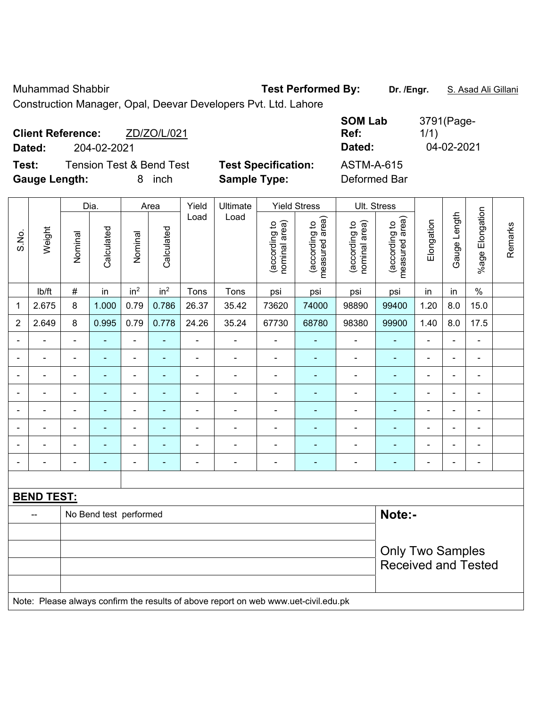Muhammad Shabbir **Test Performed By:** Dr. /Engr. **S. Asad Ali Gillani** 

Construction Manager, Opal, Deevar Developers Pvt. Ltd. Lahore

| <b>Client Reference:</b><br>Dated: | 204-02-2021                         | ZD/ZO/L/021 |                            | <b>SOM Lab</b><br>Ref:<br>Dated: | 3791(Page-<br>1/1)<br>04-02-2021 |
|------------------------------------|-------------------------------------|-------------|----------------------------|----------------------------------|----------------------------------|
| Test:                              | <b>Tension Test &amp; Bend Test</b> |             | <b>Test Specification:</b> | <b>ASTM-A-615</b>                |                                  |
| <b>Gauge Length:</b>               |                                     | inch<br>8.  | <b>Sample Type:</b>        | Deformed Bar                     |                                  |

|                |                   |                | Dia.                     |                          | Area            | Yield<br>Ultimate |                                                                                     |                                | <b>Yield Stress</b>             |                                | Ult. Stress                     |                |                |                              |         |
|----------------|-------------------|----------------|--------------------------|--------------------------|-----------------|-------------------|-------------------------------------------------------------------------------------|--------------------------------|---------------------------------|--------------------------------|---------------------------------|----------------|----------------|------------------------------|---------|
| S.No.          | Weight            | Nominal        | Calculated               | Nominal                  | Calculated      | Load              | Load                                                                                | nominal area)<br>(according to | (according to<br>measured area) | nominal area)<br>(according to | (according to<br>measured area) | Elongation     | Gauge Length   | Elongation<br>$%$ age I      | Remarks |
|                | lb/ft             | $\#$           | in                       | in <sup>2</sup>          | in <sup>2</sup> | Tons              | Tons                                                                                | psi                            | psi                             | psi                            | psi                             | in             | in             | $\%$                         |         |
| 1              | 2.675             | 8              | 1.000                    | 0.79                     | 0.786           | 26.37             | 35.42                                                                               | 73620                          | 74000                           | 98890                          | 99400                           | 1.20           | 8.0            | 15.0                         |         |
| $\overline{2}$ | 2.649             | 8              | 0.995                    | 0.79                     | 0.778           | 24.26             | 35.24                                                                               | 67730                          | 68780                           | 98380                          | 99900                           | 1.40           | 8.0            | 17.5                         |         |
| $\blacksquare$ | ÷.                | $\blacksquare$ | ä,                       | ÷,                       | $\blacksquare$  | ä,                | ÷,                                                                                  | $\blacksquare$                 | $\blacksquare$                  | $\blacksquare$                 | $\blacksquare$                  | $\blacksquare$ | $\blacksquare$ | $\frac{1}{2}$                |         |
|                | ÷,                | $\blacksquare$ | $\frac{1}{2}$            | $\blacksquare$           | $\blacksquare$  | ä,                | $\overline{a}$                                                                      | $\blacksquare$                 | $\blacksquare$                  | $\blacksquare$                 | $\blacksquare$                  | $\blacksquare$ | $\blacksquare$ | $\blacksquare$               |         |
|                | $\blacksquare$    | $\blacksquare$ | ٠                        | $\overline{\phantom{0}}$ | ۰               | $\blacksquare$    | ÷,                                                                                  | $\blacksquare$                 | $\blacksquare$                  | $\overline{\phantom{a}}$       | $\blacksquare$                  | $\blacksquare$ | $\blacksquare$ | $\blacksquare$               |         |
|                | $\blacksquare$    | $\blacksquare$ | $\blacksquare$           | ÷,                       | ۰               | $\blacksquare$    | $\blacksquare$                                                                      | $\blacksquare$                 | $\blacksquare$                  | $\overline{\phantom{a}}$       | $\blacksquare$                  | $\blacksquare$ | $\blacksquare$ | $\blacksquare$               |         |
|                | $\blacksquare$    | ä,             | ۰                        | $\blacksquare$           |                 | $\blacksquare$    | $\blacksquare$                                                                      | $\blacksquare$                 | $\overline{\phantom{a}}$        | ÷                              | $\blacksquare$                  | L,             |                | $\blacksquare$               |         |
|                | ۰                 |                | ۰                        | ۰                        |                 | $\blacksquare$    | $\blacksquare$                                                                      | $\blacksquare$                 |                                 |                                |                                 |                | $\blacksquare$ | $\blacksquare$               |         |
|                | $\blacksquare$    | $\blacksquare$ | ۰                        | ۰                        |                 | $\blacksquare$    | $\blacksquare$                                                                      | $\blacksquare$                 |                                 | ÷                              | $\blacksquare$                  | $\blacksquare$ | $\blacksquare$ | $\blacksquare$               |         |
| $\blacksquare$ |                   | ä,             | $\overline{\phantom{0}}$ | ۰                        | ۰               | $\blacksquare$    | $\blacksquare$                                                                      | $\blacksquare$                 | $\blacksquare$                  | ÷                              | $\blacksquare$                  | Ē,             | $\blacksquare$ | $\qquad \qquad \blacksquare$ |         |
|                |                   |                |                          |                          |                 |                   |                                                                                     |                                |                                 |                                |                                 |                |                |                              |         |
|                | <b>BEND TEST:</b> |                |                          |                          |                 |                   |                                                                                     |                                |                                 |                                |                                 |                |                |                              |         |
|                |                   |                | No Bend test performed   |                          |                 |                   |                                                                                     |                                |                                 |                                | Note:-                          |                |                |                              |         |
|                |                   |                |                          |                          |                 |                   |                                                                                     |                                |                                 |                                |                                 |                |                |                              |         |
|                |                   |                |                          |                          |                 |                   |                                                                                     |                                |                                 |                                | <b>Only Two Samples</b>         |                |                |                              |         |
|                |                   |                |                          |                          |                 |                   |                                                                                     |                                |                                 |                                | <b>Received and Tested</b>      |                |                |                              |         |
|                |                   |                |                          |                          |                 |                   | Note: Please always confirm the results of above report on web www.uet-civil.edu.pk |                                |                                 |                                |                                 |                |                |                              |         |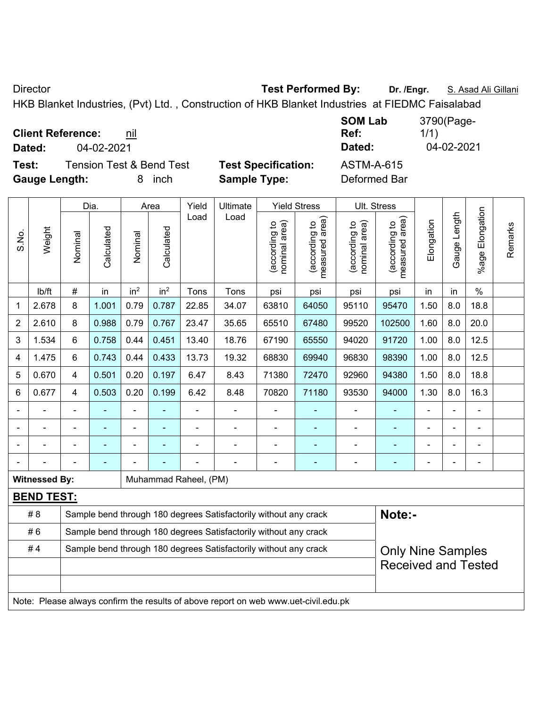Director **Test Performed By: Dr. /Engr.** S. Asad Ali Gillani

HKB Blanket Industries, (Pvt) Ltd. , Construction of HKB Blanket Industries at FIEDMC Faisalabad

**Client Reference:** nil

**Test:** Tension Test & Bend Test **Test Specification:** ASTM-A-615 **Gauge Length:** 8 inch **Sample Type:** Deformed Bar

**SOM Lab Ref:**  3790(Page-1/1) **Dated:** 04-02-2021 **Dated:** 04-02-2021

|                |                      |                | Dia.           |                 | Area                                                             | Yield                 | Ultimate                                                                            |                                | <b>Yield Stress</b>             |                                | Ult. Stress                                 |                |              |                       |         |
|----------------|----------------------|----------------|----------------|-----------------|------------------------------------------------------------------|-----------------------|-------------------------------------------------------------------------------------|--------------------------------|---------------------------------|--------------------------------|---------------------------------------------|----------------|--------------|-----------------------|---------|
| S.No.          | Weight               | Nominal        | Calculated     | Nominal         | Calculated                                                       | Load                  | Load                                                                                | nominal area)<br>(according to | (according to<br>measured area) | nominal area)<br>(according to | (according to<br>measured area)<br>measured | Elongation     | Gauge Length | Elongation<br>$%$ age | Remarks |
|                | lb/ft                | #              | in             | in <sup>2</sup> | in <sup>2</sup>                                                  | Tons                  | Tons                                                                                | psi                            | psi                             | psi                            | psi                                         | in             | in           | $\%$                  |         |
| 1              | 2.678                | 8              | 1.001          | 0.79            | 0.787                                                            | 22.85                 | 34.07                                                                               | 63810                          | 64050                           | 95110                          | 95470                                       | 1.50           | 8.0          | 18.8                  |         |
| $\overline{2}$ | 2.610                | 8              | 0.988          | 0.79            | 0.767                                                            | 23.47                 | 35.65                                                                               | 65510                          | 67480                           | 99520                          | 102500                                      | 1.60           | 8.0          | 20.0                  |         |
| 3              | 1.534                | 6              | 0.758          | 0.44            | 0.451                                                            | 13.40                 | 18.76                                                                               | 67190                          | 65550                           | 94020                          | 91720                                       | 1.00           | 8.0          | 12.5                  |         |
| 4              | 1.475                | 6              | 0.743          | 0.44            | 0.433                                                            | 13.73                 | 19.32                                                                               | 68830                          | 69940                           | 96830                          | 98390                                       | 1.00           | 8.0          | 12.5                  |         |
| 5              | 0.670                | $\overline{4}$ | 0.501          | 0.20            | 0.197                                                            | 6.47                  | 8.43                                                                                | 71380                          | 72470                           | 92960                          | 94380                                       | 1.50           | 8.0          | 18.8                  |         |
| 6              | 0.677                | $\overline{4}$ | 0.503          | 0.20            | 0.199                                                            | 6.42                  | 8.48                                                                                | 70820                          | 71180                           | 93530                          | 94000                                       | 1.30           | 8.0          | 16.3                  |         |
|                |                      |                |                | ÷,              |                                                                  | -                     | ÷                                                                                   | ä,                             |                                 |                                |                                             |                |              |                       |         |
| $\blacksquare$ |                      | $\blacksquare$ | $\blacksquare$ | $\blacksquare$  | ٠                                                                |                       | ÷                                                                                   | $\overline{\phantom{a}}$       | $\blacksquare$                  | $\blacksquare$                 | $\blacksquare$                              | $\blacksquare$ |              | ÷,                    |         |
|                |                      | $\blacksquare$ | $\blacksquare$ | $\blacksquare$  |                                                                  | $\blacksquare$        | ÷                                                                                   | ä,                             | ÷                               | $\blacksquare$                 |                                             | $\blacksquare$ |              | ÷,                    |         |
|                |                      |                | ÷,             |                 |                                                                  |                       | ÷                                                                                   | $\blacksquare$                 | $\blacksquare$                  | $\blacksquare$                 | ٠                                           | $\blacksquare$ |              | -                     |         |
|                | <b>Witnessed By:</b> |                |                |                 |                                                                  | Muhammad Raheel, (PM) |                                                                                     |                                |                                 |                                |                                             |                |              |                       |         |
|                | <b>BEND TEST:</b>    |                |                |                 |                                                                  |                       |                                                                                     |                                |                                 |                                |                                             |                |              |                       |         |
|                | # 8                  |                |                |                 |                                                                  |                       | Sample bend through 180 degrees Satisfactorily without any crack                    |                                |                                 |                                | Note:-                                      |                |              |                       |         |
|                | #6                   |                |                |                 | Sample bend through 180 degrees Satisfactorily without any crack |                       |                                                                                     |                                |                                 |                                |                                             |                |              |                       |         |
|                | #4                   |                |                |                 |                                                                  |                       | Sample bend through 180 degrees Satisfactorily without any crack                    |                                |                                 |                                | <b>Only Nine Samples</b>                    |                |              |                       |         |
|                |                      |                |                |                 |                                                                  |                       |                                                                                     |                                |                                 |                                | <b>Received and Tested</b>                  |                |              |                       |         |
|                |                      |                |                |                 |                                                                  |                       |                                                                                     |                                |                                 |                                |                                             |                |              |                       |         |
|                |                      |                |                |                 |                                                                  |                       | Note: Please always confirm the results of above report on web www.uet-civil.edu.pk |                                |                                 |                                |                                             |                |              |                       |         |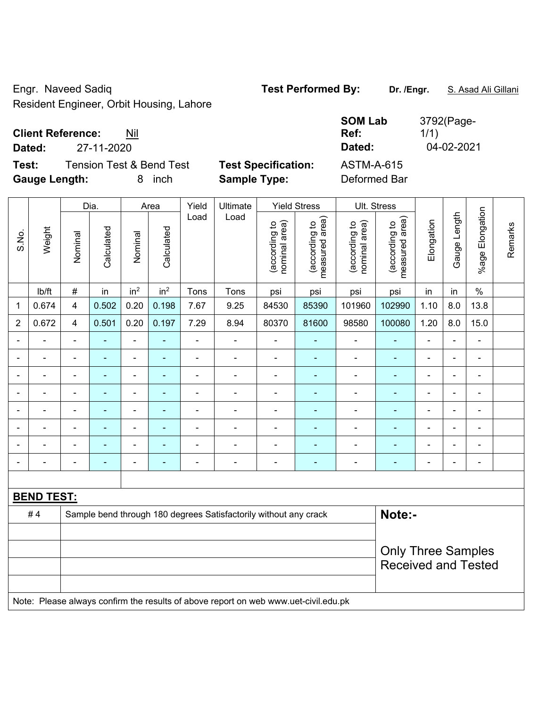Engr. Naveed Sadiq **Test Performed By: Dr. /Engr.** S. Asad Ali Gillani Resident Engineer, Orbit Housing, Lahore

#### **Client Reference:** Nil

**Test:** Tension Test & Bend Test **Test Specification:** A **Gauge Length:** 8 inch **Sample Type:** Deformed Bar

|        | <b>Client Reference:</b><br>Nil |                            | <b>SOM Lab</b><br>Ref: | 3792(Page-<br>1/1) |
|--------|---------------------------------|----------------------------|------------------------|--------------------|
| Dated: | 27-11-2020                      |                            | Dated:                 | 04-02-2021         |
| Test:  | Tension Test & Bend Test        | <b>Test Specification:</b> | ASTM-A-615             |                    |

|       |                   |                | Dia.           |                              | Area            | Yield          | Ultimate                                                                            |                                | <b>Yield Stress</b>             |                                | Ult. Stress                                 |                |                |                          |         |
|-------|-------------------|----------------|----------------|------------------------------|-----------------|----------------|-------------------------------------------------------------------------------------|--------------------------------|---------------------------------|--------------------------------|---------------------------------------------|----------------|----------------|--------------------------|---------|
| S.No. | Weight            | Nominal        | Calculated     | Nominal                      | Calculated      | Load           | Load                                                                                | nominal area)<br>(according to | (according to<br>measured area) | nominal area)<br>(according to | (according to<br>measured area)<br>measured | Elongation     | Gauge Length   | Elongation<br>$%$ age    | Remarks |
|       | lb/ft             | $\#$           | in             | in <sup>2</sup>              | in <sup>2</sup> | Tons           | Tons                                                                                | psi                            | psi                             | psi                            | psi                                         | in             | in             | $\%$                     |         |
| 1     | 0.674             | 4              | 0.502          | 0.20                         | 0.198           | 7.67           | 9.25                                                                                | 84530                          | 85390                           | 101960                         | 102990                                      | 1.10           | 8.0            | 13.8                     |         |
| 2     | 0.672             | 4              | 0.501          | 0.20                         | 0.197           | 7.29           | 8.94                                                                                | 80370                          | 81600                           | 98580                          | 100080                                      | 1.20           | 8.0            | 15.0                     |         |
|       | ä,                | $\blacksquare$ | ÷,             | $\blacksquare$               | ÷               | ÷,             | $\blacksquare$                                                                      | L,                             | ÷                               | $\blacksquare$                 | $\blacksquare$                              | ä,             | -              | $\blacksquare$           |         |
|       |                   |                | $\blacksquare$ | $\blacksquare$               |                 |                | $\overline{a}$                                                                      | $\blacksquare$                 |                                 | $\blacksquare$                 | $\sim$                                      | $\blacksquare$ |                |                          |         |
|       |                   |                |                | ۰                            |                 |                | ٠                                                                                   | $\blacksquare$                 |                                 | ٠                              |                                             |                |                |                          |         |
|       |                   | $\blacksquare$ | ۰              | ۰                            | ۰               | $\blacksquare$ | $\blacksquare$                                                                      | $\overline{a}$                 | ۰                               | $\overline{\phantom{0}}$       | $\blacksquare$                              | $\overline{a}$ | $\blacksquare$ | $\overline{\phantom{0}}$ |         |
|       | ÷                 | $\blacksquare$ | ۰              | $\qquad \qquad \blacksquare$ | ۰               | $\blacksquare$ | $\blacksquare$                                                                      | $\blacksquare$                 | ۰                               | $\blacksquare$                 | $\blacksquare$                              | $\blacksquare$ | $\blacksquare$ | ÷                        |         |
|       | $\blacksquare$    | $\blacksquare$ | ÷,             | $\qquad \qquad \blacksquare$ | ۰               | $\blacksquare$ | $\blacksquare$                                                                      | ä,                             |                                 | $\blacksquare$                 | $\blacksquare$                              | $\blacksquare$ | -              | ÷,                       |         |
|       |                   |                | ÷              | ä,                           |                 |                | ä,                                                                                  | ä,                             |                                 | $\blacksquare$                 | ä,                                          | $\blacksquare$ |                |                          |         |
|       |                   |                |                | ۰                            |                 |                | $\blacksquare$                                                                      |                                |                                 | ä,                             | ٠                                           |                |                | $\blacksquare$           |         |
|       |                   |                |                |                              |                 |                |                                                                                     |                                |                                 |                                |                                             |                |                |                          |         |
|       | <b>BEND TEST:</b> |                |                |                              |                 |                |                                                                                     |                                |                                 |                                |                                             |                |                |                          |         |
|       | #4                |                |                |                              |                 |                | Sample bend through 180 degrees Satisfactorily without any crack                    |                                |                                 |                                | Note:-                                      |                |                |                          |         |
|       |                   |                |                |                              |                 |                |                                                                                     |                                |                                 |                                |                                             |                |                |                          |         |
|       |                   |                |                |                              |                 |                |                                                                                     |                                |                                 |                                | <b>Only Three Samples</b>                   |                |                |                          |         |
|       |                   |                |                |                              |                 |                |                                                                                     |                                |                                 |                                | <b>Received and Tested</b>                  |                |                |                          |         |
|       |                   |                |                |                              |                 |                |                                                                                     |                                |                                 |                                |                                             |                |                |                          |         |
|       |                   |                |                |                              |                 |                | Note: Please always confirm the results of above report on web www.uet-civil.edu.pk |                                |                                 |                                |                                             |                |                |                          |         |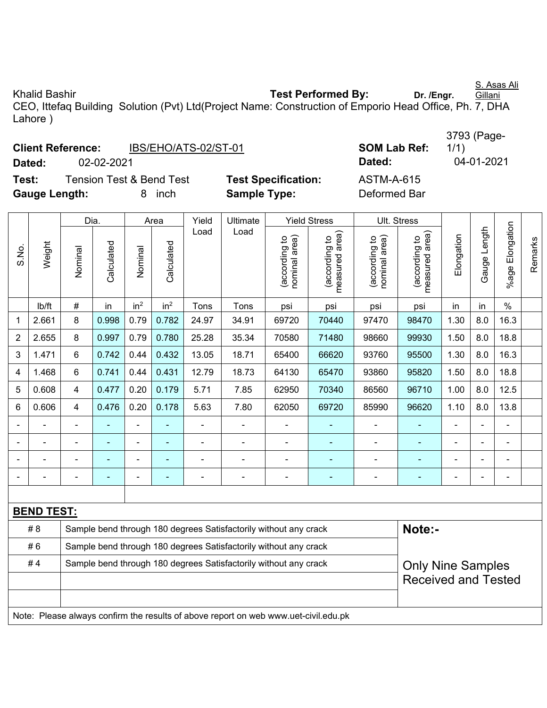Khalid Bashir **Test Performed By:** Dr. /Engr. Gillani CEO, Ittefaq Building Solution (Pvt) Ltd(Project Name: Construction of Emporio Head Office, Ph. 7, DHA Lahore )

|                                   | <b>Client Reference:</b> | IBS/EHO/ATS-02/ST-01                |                          |                     | <b>SOM Lab Ref:</b>                    |                   |
|-----------------------------------|--------------------------|-------------------------------------|--------------------------|---------------------|----------------------------------------|-------------------|
| Dated:                            | 02-02-2021               |                                     |                          |                     |                                        | Dated:            |
| Test:                             |                          | <b>Tension Test &amp; Bend Test</b> |                          |                     | <b>Test Specification:</b>             | <b>ASTM-A-615</b> |
| <b>Gauge Length:</b><br>inch<br>8 |                          |                                     |                          | <b>Sample Type:</b> |                                        | Deformed Bar      |
|                                   |                          |                                     |                          |                     |                                        |                   |
|                                   | n:-                      | $\Lambda$                           | $\mathbf{M}$ . The state | $1.114$ $1.14$      | $M_{\rm{eff}}$ and $\Omega_{\rm{max}}$ | 1111 211222       |

|                |                                                                                     | Dia.           |                                                                  |                 | Area            | Yield<br><b>Ultimate</b> |                                                                  | <b>Yield Stress</b>            | Ult. Stress                     |                                |                                 |                |                |                 |         |
|----------------|-------------------------------------------------------------------------------------|----------------|------------------------------------------------------------------|-----------------|-----------------|--------------------------|------------------------------------------------------------------|--------------------------------|---------------------------------|--------------------------------|---------------------------------|----------------|----------------|-----------------|---------|
| S.No.          | Weight                                                                              | Nominal        | Calculated                                                       | Nominal         | Calculated      | Load                     | Load                                                             | nominal area)<br>(according to | measured area)<br>(according to | (according to<br>nominal area) | measured area)<br>(according to | Elongation     | Gauge Length   | %age Elongation | Remarks |
|                | lb/ft                                                                               | $\#$           | in                                                               | in <sup>2</sup> | in <sup>2</sup> | Tons                     | Tons                                                             | psi                            | psi                             | psi                            | psi                             | in             | in             | $\frac{0}{0}$   |         |
| 1              | 2.661                                                                               | 8              | 0.998                                                            | 0.79            | 0.782           | 24.97                    | 34.91                                                            | 69720                          | 70440                           | 97470                          | 98470                           | 1.30           | 8.0            | 16.3            |         |
| $\overline{2}$ | 2.655                                                                               | 8              | 0.997                                                            | 0.79            | 0.780           | 25.28                    | 35.34                                                            | 70580                          | 71480                           | 98660                          | 99930                           | 1.50           | 8.0            | 18.8            |         |
| 3              | 1.471                                                                               | $6\,$          | 0.742                                                            | 0.44            | 0.432           | 13.05                    | 18.71                                                            | 65400                          | 66620                           | 93760                          | 95500                           | 1.30           | 8.0            | 16.3            |         |
| 4              | 1.468                                                                               | 6              | 0.741                                                            | 0.44            | 0.431           | 12.79                    | 18.73                                                            | 64130                          | 65470                           | 93860                          | 95820                           | 1.50           | 8.0            | 18.8            |         |
| 5              | 0.608                                                                               | 4              | 0.477                                                            | 0.20            | 0.179           | 5.71                     | 7.85                                                             | 62950                          | 70340                           | 86560                          | 96710                           | 1.00           | 8.0            | 12.5            |         |
| 6              | 0.606                                                                               | $\overline{4}$ | 0.476                                                            | 0.20            | 0.178           | 5.63                     | 7.80                                                             | 62050                          | 69720                           | 85990                          | 96620                           | 1.10           | 8.0            | 13.8            |         |
|                |                                                                                     | $\blacksquare$ | $\blacksquare$                                                   | $\blacksquare$  | ۰               | $\blacksquare$           | $\blacksquare$                                                   | $\blacksquare$                 |                                 | $\blacksquare$                 | $\blacksquare$                  | $\blacksquare$ | $\blacksquare$ |                 |         |
|                | $\overline{a}$                                                                      | $\blacksquare$ | ä,                                                               | $\blacksquare$  | ÷,              | $\blacksquare$           | $\blacksquare$                                                   | $\blacksquare$                 | ÷,                              | ÷,                             | $\blacksquare$                  | $\blacksquare$ | $\blacksquare$ |                 |         |
|                |                                                                                     |                |                                                                  | $\blacksquare$  | ä,              | $\blacksquare$           |                                                                  | $\blacksquare$                 | ä,                              | $\blacksquare$                 | ä,                              | $\blacksquare$ | ä,             |                 |         |
|                |                                                                                     |                |                                                                  |                 |                 |                          |                                                                  |                                | ٠                               |                                | $\blacksquare$                  | $\blacksquare$ | $\blacksquare$ |                 |         |
|                |                                                                                     |                |                                                                  |                 |                 |                          |                                                                  |                                |                                 |                                |                                 |                |                |                 |         |
|                | <b>BEND TEST:</b>                                                                   |                |                                                                  |                 |                 |                          |                                                                  |                                |                                 |                                |                                 |                |                |                 |         |
|                | # 8                                                                                 |                |                                                                  |                 |                 |                          | Sample bend through 180 degrees Satisfactorily without any crack |                                |                                 |                                | Note:-                          |                |                |                 |         |
|                | #6                                                                                  |                | Sample bend through 180 degrees Satisfactorily without any crack |                 |                 |                          |                                                                  |                                |                                 |                                |                                 |                |                |                 |         |
|                | #4                                                                                  |                |                                                                  |                 |                 |                          | Sample bend through 180 degrees Satisfactorily without any crack |                                |                                 |                                | <b>Only Nine Samples</b>        |                |                |                 |         |
|                |                                                                                     |                |                                                                  |                 |                 |                          |                                                                  |                                |                                 |                                | <b>Received and Tested</b>      |                |                |                 |         |
|                |                                                                                     |                |                                                                  |                 |                 |                          |                                                                  |                                |                                 |                                |                                 |                |                |                 |         |
|                | Note: Please always confirm the results of above report on web www.uet-civil.edu.pk |                |                                                                  |                 |                 |                          |                                                                  |                                |                                 |                                |                                 |                |                |                 |         |

S. Asas Ali

3793 (Page-1/1)

**Dated:** 02-02-2021 **Dated:** 04-01-2021